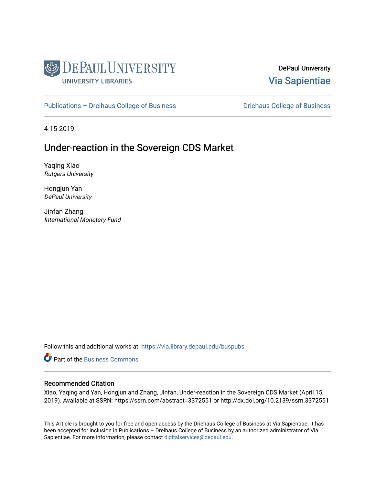

DePaul University [Via Sapientiae](https://via.library.depaul.edu/) 

[Publications – Dreihaus College of Business](https://via.library.depaul.edu/buspubs) **Driehaus College of Business** 

4-15-2019

## Under-reaction in the Sovereign CDS Market

Yaqing Xiao Rutgers University

Hongjun Yan DePaul University

Jinfan Zhang International Monetary Fund

Follow this and additional works at: [https://via.library.depaul.edu/buspubs](https://via.library.depaul.edu/buspubs?utm_source=via.library.depaul.edu%2Fbuspubs%2F134&utm_medium=PDF&utm_campaign=PDFCoverPages)

**C** Part of the [Business Commons](http://network.bepress.com/hgg/discipline/622?utm_source=via.library.depaul.edu%2Fbuspubs%2F134&utm_medium=PDF&utm_campaign=PDFCoverPages)

#### Recommended Citation

Xiao, Yaqing and Yan, Hongjun and Zhang, Jinfan, Under-reaction in the Sovereign CDS Market (April 15, 2019). Available at SSRN: https://ssrn.com/abstract=3372551 or http://dx.doi.org/10.2139/ssrn.3372551

This Article is brought to you for free and open access by the Driehaus College of Business at Via Sapientiae. It has been accepted for inclusion in Publications – Dreihaus College of Business by an authorized administrator of Via Sapientiae. For more information, please contact [digitalservices@depaul.edu](mailto:digitalservices@depaul.edu).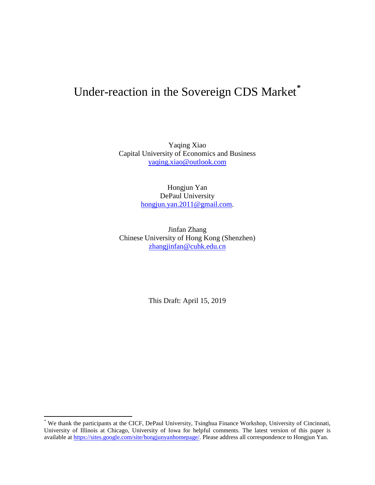# Under-reaction in the Sovereign CDS Market**[\\*](#page-1-0)**

Yaqing Xiao Capital University of Economics and Business [yaqing.xiao@outlook.com](mailto:yaqing.xiao@outlook.com)

> Hongjun Yan DePaul University [hongjun.yan.2011@gmail.com.](mailto:hongjun.yan.2011@gmail.com)

Jinfan Zhang Chinese University of Hong Kong (Shenzhen) [zhangjinfan@cuhk.edu.cn](mailto:zhangjinfan@cuhk.edu.cn)

This Draft: April 15, 2019

<span id="page-1-0"></span>\* We thank the participants at the CICF, DePaul University, Tsinghua Finance Workshop, University of Cincinnati, University of Illinois at Chicago, University of Iowa for helpful comments. The latest version of this paper is available at [https://sites.google.com/site/hongjunyanhomepage/.](https://sites.google.com/site/hongjunyanhomepage/) Please address all correspondence to Hongjun Yan.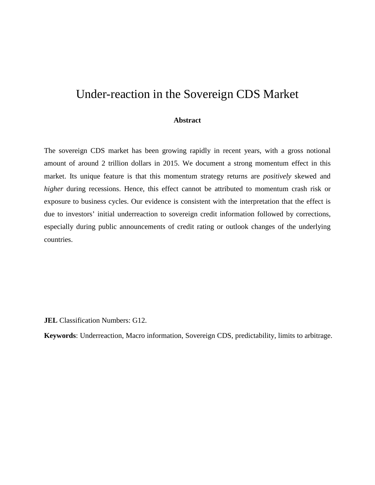## Under-reaction in the Sovereign CDS Market

#### **Abstract**

The sovereign CDS market has been growing rapidly in recent years, with a gross notional amount of around 2 trillion dollars in 2015. We document a strong momentum effect in this market. Its unique feature is that this momentum strategy returns are *positively* skewed and *higher* during recessions. Hence, this effect cannot be attributed to momentum crash risk or exposure to business cycles. Our evidence is consistent with the interpretation that the effect is due to investors' initial underreaction to sovereign credit information followed by corrections, especially during public announcements of credit rating or outlook changes of the underlying countries.

**JEL** Classification Numbers: G12.

**Keywords**: Underreaction, Macro information, Sovereign CDS, predictability, limits to arbitrage.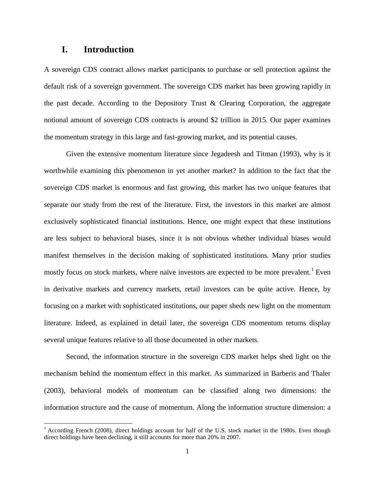## **I. Introduction**

A sovereign CDS contract allows market participants to purchase or sell protection against the default risk of a sovereign government. The sovereign CDS market has been growing rapidly in the past decade. According to the Depository Trust & Clearing Corporation, the aggregate notional amount of sovereign CDS contracts is around \$2 trillion in 2015. Our paper examines the momentum strategy in this large and fast-growing market, and its potential causes.

Given the extensive momentum literature since Jegadeesh and Titman (1993), why is it worthwhile examining this phenomenon in yet another market? In addition to the fact that the sovereign CDS market is enormous and fast growing, this market has two unique features that separate our study from the rest of the literature. First, the investors in this market are almost exclusively sophisticated financial institutions. Hence, one might expect that these institutions are less subject to behavioral biases, since it is not obvious whether individual biases would manifest themselves in the decision making of sophisticated institutions. Many prior studies mostly focus on stock markets, where naïve investors are expected to be more prevalent.<sup>[1](#page-3-0)</sup> Even in derivative markets and currency markets, retail investors can be quite active. Hence, by focusing on a market with sophisticated institutions, our paper sheds new light on the momentum literature. Indeed, as explained in detail later, the sovereign CDS momentum returns display several unique features relative to all those documented in other markets.

Second, the information structure in the sovereign CDS market helps shed light on the mechanism behind the momentum effect in this market. As summarized in Barberis and Thaler (2003), behavioral models of momentum can be classified along two dimensions: the information structure and the cause of momentum. Along the information structure dimension: a

<span id="page-3-0"></span><sup>&</sup>lt;sup>1</sup> According French (2008), direct holdings account for half of the U.S. stock market in the 1980s. Even though direct holdings have been declining, it still accounts for more than 20% in 2007.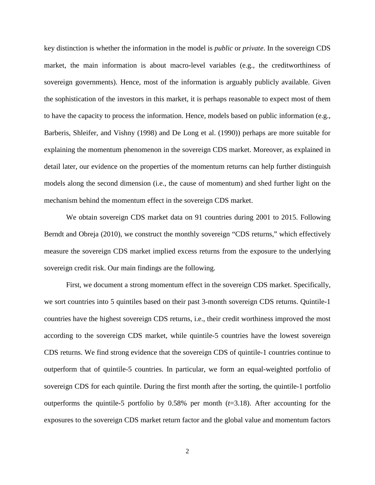key distinction is whether the information in the model is *public* or *private*. In the sovereign CDS market, the main information is about macro-level variables (e.g., the creditworthiness of sovereign governments). Hence, most of the information is arguably publicly available. Given the sophistication of the investors in this market, it is perhaps reasonable to expect most of them to have the capacity to process the information. Hence, models based on public information (e.g., Barberis, Shleifer, and Vishny (1998) and De Long et al. (1990)) perhaps are more suitable for explaining the momentum phenomenon in the sovereign CDS market. Moreover, as explained in detail later, our evidence on the properties of the momentum returns can help further distinguish models along the second dimension (i.e., the cause of momentum) and shed further light on the mechanism behind the momentum effect in the sovereign CDS market.

We obtain sovereign CDS market data on 91 countries during 2001 to 2015. Following Berndt and Obreja (2010), we construct the monthly sovereign "CDS returns," which effectively measure the sovereign CDS market implied excess returns from the exposure to the underlying sovereign credit risk. Our main findings are the following.

First, we document a strong momentum effect in the sovereign CDS market. Specifically, we sort countries into 5 quintiles based on their past 3-month sovereign CDS returns. Quintile-1 countries have the highest sovereign CDS returns, i.e., their credit worthiness improved the most according to the sovereign CDS market, while quintile-5 countries have the lowest sovereign CDS returns. We find strong evidence that the sovereign CDS of quintile-1 countries continue to outperform that of quintile-5 countries. In particular, we form an equal-weighted portfolio of sovereign CDS for each quintile. During the first month after the sorting, the quintile-1 portfolio outperforms the quintile-5 portfolio by 0.58% per month (*t*=3.18). After accounting for the exposures to the sovereign CDS market return factor and the global value and momentum factors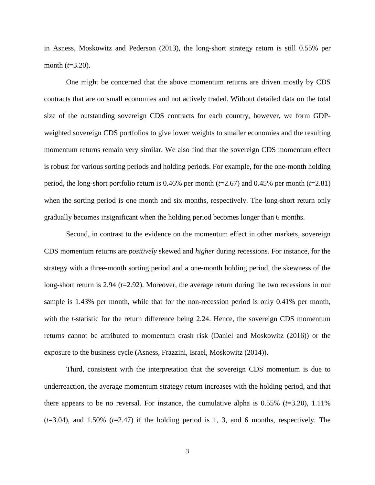in Asness, Moskowitz and Pederson (2013), the long-short strategy return is still 0.55% per month (*t*=3.20).

One might be concerned that the above momentum returns are driven mostly by CDS contracts that are on small economies and not actively traded. Without detailed data on the total size of the outstanding sovereign CDS contracts for each country, however, we form GDPweighted sovereign CDS portfolios to give lower weights to smaller economies and the resulting momentum returns remain very similar. We also find that the sovereign CDS momentum effect is robust for various sorting periods and holding periods. For example, for the one-month holding period, the long-short portfolio return is 0.46% per month (*t*=2.67) and 0.45% per month (*t*=2.81) when the sorting period is one month and six months, respectively. The long-short return only gradually becomes insignificant when the holding period becomes longer than 6 months.

Second, in contrast to the evidence on the momentum effect in other markets, sovereign CDS momentum returns are *positively* skewed and *higher* during recessions. For instance, for the strategy with a three-month sorting period and a one-month holding period, the skewness of the long-short return is 2.94 (*t*=2.92). Moreover, the average return during the two recessions in our sample is 1.43% per month, while that for the non-recession period is only 0.41% per month, with the *t*-statistic for the return difference being 2.24. Hence, the sovereign CDS momentum returns cannot be attributed to momentum crash risk (Daniel and Moskowitz (2016)) or the exposure to the business cycle (Asness, Frazzini, Israel, Moskowitz (2014)).

Third, consistent with the interpretation that the sovereign CDS momentum is due to underreaction, the average momentum strategy return increases with the holding period, and that there appears to be no reversal. For instance, the cumulative alpha is 0.55% (*t*=3.20), 1.11% (*t*=3.04), and 1.50% (*t*=2.47) if the holding period is 1, 3, and 6 months, respectively. The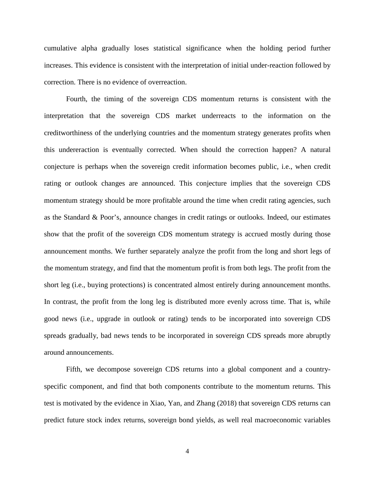cumulative alpha gradually loses statistical significance when the holding period further increases. This evidence is consistent with the interpretation of initial under-reaction followed by correction. There is no evidence of overreaction.

Fourth, the timing of the sovereign CDS momentum returns is consistent with the interpretation that the sovereign CDS market underreacts to the information on the creditworthiness of the underlying countries and the momentum strategy generates profits when this undereraction is eventually corrected. When should the correction happen? A natural conjecture is perhaps when the sovereign credit information becomes public, i.e., when credit rating or outlook changes are announced. This conjecture implies that the sovereign CDS momentum strategy should be more profitable around the time when credit rating agencies, such as the Standard & Poor's, announce changes in credit ratings or outlooks. Indeed, our estimates show that the profit of the sovereign CDS momentum strategy is accrued mostly during those announcement months. We further separately analyze the profit from the long and short legs of the momentum strategy, and find that the momentum profit is from both legs. The profit from the short leg (i.e., buying protections) is concentrated almost entirely during announcement months. In contrast, the profit from the long leg is distributed more evenly across time. That is, while good news (i.e., upgrade in outlook or rating) tends to be incorporated into sovereign CDS spreads gradually, bad news tends to be incorporated in sovereign CDS spreads more abruptly around announcements.

Fifth, we decompose sovereign CDS returns into a global component and a countryspecific component, and find that both components contribute to the momentum returns. This test is motivated by the evidence in Xiao, Yan, and Zhang (2018) that sovereign CDS returns can predict future stock index returns, sovereign bond yields, as well real macroeconomic variables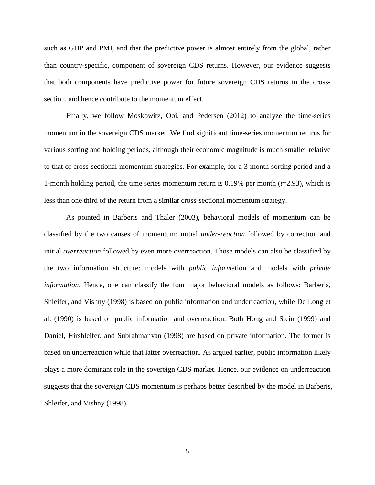such as GDP and PMI, and that the predictive power is almost entirely from the global, rather than country-specific, component of sovereign CDS returns. However, our evidence suggests that both components have predictive power for future sovereign CDS returns in the crosssection, and hence contribute to the momentum effect.

Finally, we follow Moskowitz, Ooi, and Pedersen (2012) to analyze the time-series momentum in the sovereign CDS market. We find significant time-series momentum returns for various sorting and holding periods, although their economic magnitude is much smaller relative to that of cross-sectional momentum strategies. For example, for a 3-month sorting period and a 1-month holding period, the time series momentum return is  $0.19\%$  per month ( $t=2.93$ ), which is less than one third of the return from a similar cross-sectional momentum strategy.

As pointed in Barberis and Thaler (2003), behavioral models of momentum can be classified by the two causes of momentum: initial *under-reaction* followed by correction and initial *overreaction* followed by even more overreaction. Those models can also be classified by the two information structure: models with *public inform*ation and models with *private information*. Hence, one can classify the four major behavioral models as follows: Barberis, Shleifer, and Vishny (1998) is based on public information and underreaction, while De Long et al. (1990) is based on public information and overreaction. Both Hong and Stein (1999) and Daniel, Hirshleifer, and Subrahmanyan (1998) are based on private information. The former is based on underreaction while that latter overreaction. As argued earlier, public information likely plays a more dominant role in the sovereign CDS market. Hence, our evidence on underreaction suggests that the sovereign CDS momentum is perhaps better described by the model in Barberis, Shleifer, and Vishny (1998).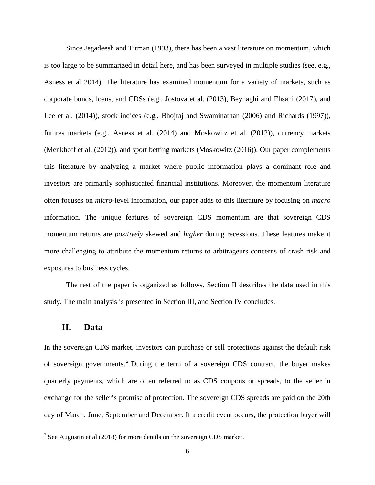Since Jegadeesh and Titman (1993), there has been a vast literature on momentum, which is too large to be summarized in detail here, and has been surveyed in multiple studies (see, e.g., Asness et al 2014). The literature has examined momentum for a variety of markets, such as corporate bonds, loans, and CDSs (e.g., Jostova et al. (2013), Beyhaghi and Ehsani (2017), and Lee et al. (2014)), stock indices (e.g., Bhojraj and Swaminathan (2006) and Richards (1997)), futures markets (e.g., Asness et al. (2014) and Moskowitz et al. (2012)), currency markets (Menkhoff et al. (2012)), and sport betting markets (Moskowitz (2016)). Our paper complements this literature by analyzing a market where public information plays a dominant role and investors are primarily sophisticated financial institutions. Moreover, the momentum literature often focuses on *micro*-level information, our paper adds to this literature by focusing on *macro*  information. The unique features of sovereign CDS momentum are that sovereign CDS momentum returns are *positively* skewed and *higher* during recessions. These features make it more challenging to attribute the momentum returns to arbitrageurs concerns of crash risk and exposures to business cycles.

The rest of the paper is organized as follows. Section II describes the data used in this study. The main analysis is presented in Section III, and Section IV concludes.

## **II. Data**

l

In the sovereign CDS market, investors can purchase or sell protections against the default risk of sovereign governments. [2](#page-8-0) During the term of a sovereign CDS contract, the buyer makes quarterly payments, which are often referred to as CDS coupons or spreads, to the seller in exchange for the seller's promise of protection. The sovereign CDS spreads are paid on the 20th day of March, June, September and December. If a credit event occurs, the protection buyer will

<span id="page-8-0"></span> $2^{2}$  See Augustin et al (2018) for more details on the sovereign CDS market.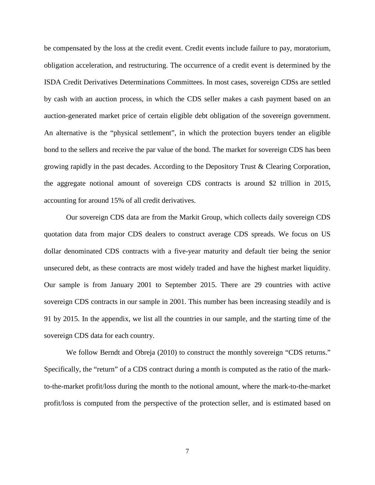be compensated by the loss at the credit event. Credit events include failure to pay, moratorium, obligation acceleration, and restructuring. The occurrence of a credit event is determined by the ISDA Credit Derivatives Determinations Committees. In most cases, sovereign CDSs are settled by cash with an auction process, in which the CDS seller makes a cash payment based on an auction-generated market price of certain eligible debt obligation of the sovereign government. An alternative is the "physical settlement", in which the protection buyers tender an eligible bond to the sellers and receive the par value of the bond. The market for sovereign CDS has been growing rapidly in the past decades. According to the Depository Trust & Clearing Corporation, the aggregate notional amount of sovereign CDS contracts is around \$2 trillion in 2015, accounting for around 15% of all credit derivatives.

Our sovereign CDS data are from the Markit Group, which collects daily sovereign CDS quotation data from major CDS dealers to construct average CDS spreads. We focus on US dollar denominated CDS contracts with a five-year maturity and default tier being the senior unsecured debt, as these contracts are most widely traded and have the highest market liquidity. Our sample is from January 2001 to September 2015. There are 29 countries with active sovereign CDS contracts in our sample in 2001. This number has been increasing steadily and is 91 by 2015. In the appendix, we list all the countries in our sample, and the starting time of the sovereign CDS data for each country.

We follow Berndt and Obreja (2010) to construct the monthly sovereign "CDS returns." Specifically, the "return" of a CDS contract during a month is computed as the ratio of the markto-the-market profit/loss during the month to the notional amount, where the mark-to-the-market profit/loss is computed from the perspective of the protection seller, and is estimated based on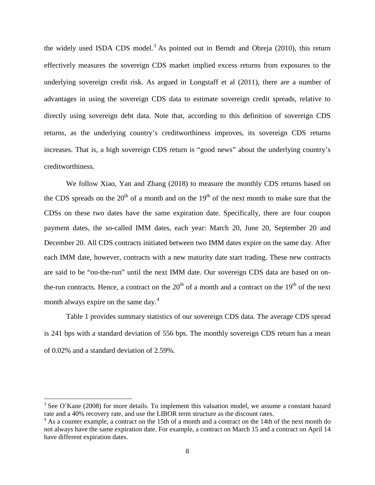the widely used ISDA CDS model.<sup>[3](#page-10-0)</sup> As pointed out in Berndt and Obreja  $(2010)$ , this return effectively measures the sovereign CDS market implied excess returns from exposures to the underlying sovereign credit risk. As argued in Longstaff et al (2011), there are a number of advantages in using the sovereign CDS data to estimate sovereign credit spreads, relative to directly using sovereign debt data. Note that, according to this definition of sovereign CDS returns, as the underlying country's creditworthiness improves, its sovereign CDS returns increases. That is, a high sovereign CDS return is "good news" about the underlying country's creditworthiness.

We follow Xiao, Yan and Zhang (2018) to measure the monthly CDS returns based on the CDS spreads on the  $20<sup>th</sup>$  of a month and on the  $19<sup>th</sup>$  of the next month to make sure that the CDSs on these two dates have the same expiration date. Specifically, there are four coupon payment dates, the so-called IMM dates, each year: March 20, June 20, September 20 and December 20. All CDS contracts initiated between two IMM dates expire on the same day. After each IMM date, however, contracts with a new maturity date start trading. These new contracts are said to be "on-the-run" until the next IMM date. Our sovereign CDS data are based on onthe-run contracts. Hence, a contract on the  $20<sup>th</sup>$  of a month and a contract on the  $19<sup>th</sup>$  of the next month always expire on the same day.<sup>[4](#page-10-1)</sup>

Table 1 provides summary statistics of our sovereign CDS data. The average CDS spread is 241 bps with a standard deviation of 556 bps. The monthly sovereign CDS return has a mean of 0.02% and a standard deviation of 2.59%.

l

<span id="page-10-0"></span><sup>&</sup>lt;sup>3</sup> See O'Kane (2008) for more details. To implement this valuation model, we assume a constant hazard rate and a 40% recovery rate, and use the LIBOR term structure as the discount rates.

<span id="page-10-1"></span> $4$  As a counter example, a contract on the 15th of a month and a contract on the 14th of the next month do not always have the same expiration date. For example, a contract on March 15 and a contract on April 14 have different expiration dates.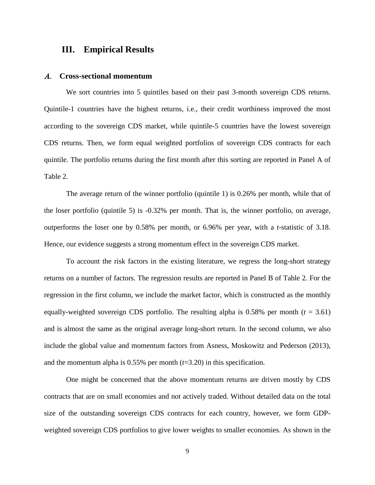## **III. Empirical Results**

#### A. **Cross-sectional momentum**

We sort countries into 5 quintiles based on their past 3-month sovereign CDS returns. Quintile-1 countries have the highest returns, i.e., their credit worthiness improved the most according to the sovereign CDS market, while quintile-5 countries have the lowest sovereign CDS returns. Then, we form equal weighted portfolios of sovereign CDS contracts for each quintile. The portfolio returns during the first month after this sorting are reported in Panel A of Table 2.

The average return of the winner portfolio (quintile 1) is 0.26% per month, while that of the loser portfolio (quintile 5) is -0.32% per month. That is, the winner portfolio, on average, outperforms the loser one by 0.58% per month, or 6.96% per year, with a *t*-statistic of 3.18. Hence, our evidence suggests a strong momentum effect in the sovereign CDS market.

To account the risk factors in the existing literature, we regress the long-short strategy returns on a number of factors. The regression results are reported in Panel B of Table 2. For the regression in the first column, we include the market factor, which is constructed as the monthly equally-weighted sovereign CDS portfolio. The resulting alpha is  $0.58\%$  per month ( $t = 3.61$ ) and is almost the same as the original average long-short return. In the second column, we also include the global value and momentum factors from Asness, Moskowitz and Pederson (2013), and the momentum alpha is  $0.55\%$  per month ( $t=3.20$ ) in this specification.

One might be concerned that the above momentum returns are driven mostly by CDS contracts that are on small economies and not actively traded. Without detailed data on the total size of the outstanding sovereign CDS contracts for each country, however, we form GDPweighted sovereign CDS portfolios to give lower weights to smaller economies. As shown in the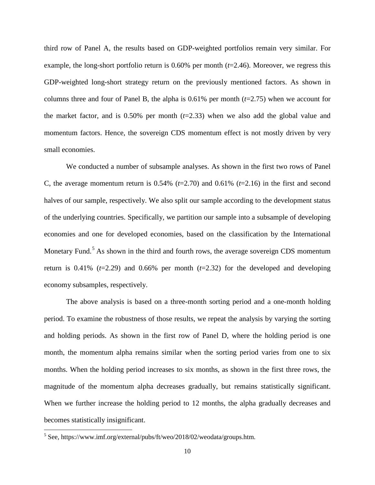third row of Panel A, the results based on GDP-weighted portfolios remain very similar. For example, the long-short portfolio return is 0.60% per month (*t*=2.46). Moreover, we regress this GDP-weighted long-short strategy return on the previously mentioned factors. As shown in columns three and four of Panel B, the alpha is  $0.61\%$  per month ( $t=2.75$ ) when we account for the market factor, and is  $0.50\%$  per month  $(t=2.33)$  when we also add the global value and momentum factors. Hence, the sovereign CDS momentum effect is not mostly driven by very small economies.

We conducted a number of subsample analyses. As shown in the first two rows of Panel C, the average momentum return is  $0.54\%$  ( $t=2.70$ ) and  $0.61\%$  ( $t=2.16$ ) in the first and second halves of our sample, respectively. We also split our sample according to the development status of the underlying countries. Specifically, we partition our sample into a subsample of developing economies and one for developed economies, based on the classification by the International Monetary Fund.<sup>[5](#page-12-0)</sup> As shown in the third and fourth rows, the average sovereign CDS momentum return is  $0.41\%$  ( $t=2.29$ ) and  $0.66\%$  per month ( $t=2.32$ ) for the developed and developing economy subsamples, respectively.

The above analysis is based on a three-month sorting period and a one-month holding period. To examine the robustness of those results, we repeat the analysis by varying the sorting and holding periods. As shown in the first row of Panel D, where the holding period is one month, the momentum alpha remains similar when the sorting period varies from one to six months. When the holding period increases to six months, as shown in the first three rows, the magnitude of the momentum alpha decreases gradually, but remains statistically significant. When we further increase the holding period to 12 months, the alpha gradually decreases and becomes statistically insignificant.

l

<span id="page-12-0"></span> $<sup>5</sup>$  See, https://www.imf.org/external/pubs/ft/weo/2018/02/weodata/groups.htm.</sup>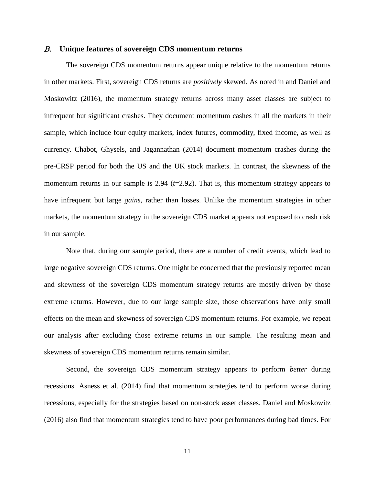#### B. **Unique features of sovereign CDS momentum returns**

The sovereign CDS momentum returns appear unique relative to the momentum returns in other markets. First, sovereign CDS returns are *positively* skewed. As noted in and Daniel and Moskowitz (2016), the momentum strategy returns across many asset classes are subject to infrequent but significant crashes. They document momentum cashes in all the markets in their sample, which include four equity markets, index futures, commodity, fixed income, as well as currency. Chabot, Ghysels, and Jagannathan (2014) document momentum crashes during the pre-CRSP period for both the US and the UK stock markets. In contrast, the skewness of the momentum returns in our sample is 2.94 ( $t=2.92$ ). That is, this momentum strategy appears to have infrequent but large *gains*, rather than losses. Unlike the momentum strategies in other markets, the momentum strategy in the sovereign CDS market appears not exposed to crash risk in our sample.

Note that, during our sample period, there are a number of credit events, which lead to large negative sovereign CDS returns. One might be concerned that the previously reported mean and skewness of the sovereign CDS momentum strategy returns are mostly driven by those extreme returns. However, due to our large sample size, those observations have only small effects on the mean and skewness of sovereign CDS momentum returns. For example, we repeat our analysis after excluding those extreme returns in our sample. The resulting mean and skewness of sovereign CDS momentum returns remain similar.

Second, the sovereign CDS momentum strategy appears to perform *better* during recessions. Asness et al. (2014) find that momentum strategies tend to perform worse during recessions, especially for the strategies based on non-stock asset classes. Daniel and Moskowitz (2016) also find that momentum strategies tend to have poor performances during bad times. For

11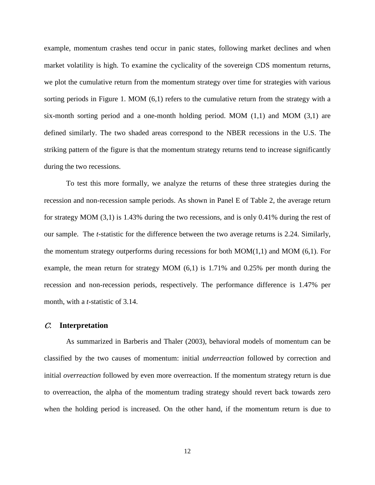example, momentum crashes tend occur in panic states, following market declines and when market volatility is high. To examine the cyclicality of the sovereign CDS momentum returns, we plot the cumulative return from the momentum strategy over time for strategies with various sorting periods in Figure 1. MOM (6,1) refers to the cumulative return from the strategy with a six-month sorting period and a one-month holding period. MOM  $(1,1)$  and MOM  $(3,1)$  are defined similarly. The two shaded areas correspond to the NBER recessions in the U.S. The striking pattern of the figure is that the momentum strategy returns tend to increase significantly during the two recessions.

To test this more formally, we analyze the returns of these three strategies during the recession and non-recession sample periods. As shown in Panel E of Table 2, the average return for strategy MOM (3,1) is 1.43% during the two recessions, and is only 0.41% during the rest of our sample. The *t*-statistic for the difference between the two average returns is 2.24. Similarly, the momentum strategy outperforms during recessions for both  $MOM(1,1)$  and  $MOM(6,1)$ . For example, the mean return for strategy MOM  $(6,1)$  is 1.71% and 0.25% per month during the recession and non-recession periods, respectively. The performance difference is 1.47% per month, with a *t*-statistic of 3.14.

#### C. **Interpretation**

As summarized in Barberis and Thaler (2003), behavioral models of momentum can be classified by the two causes of momentum: initial *underreaction* followed by correction and initial *overreaction* followed by even more overreaction. If the momentum strategy return is due to overreaction, the alpha of the momentum trading strategy should revert back towards zero when the holding period is increased. On the other hand, if the momentum return is due to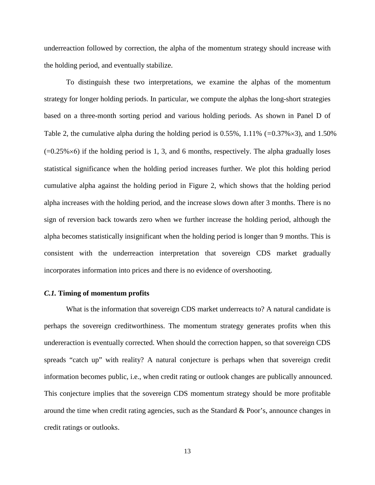underreaction followed by correction, the alpha of the momentum strategy should increase with the holding period, and eventually stabilize.

To distinguish these two interpretations, we examine the alphas of the momentum strategy for longer holding periods. In particular, we compute the alphas the long-short strategies based on a three-month sorting period and various holding periods. As shown in Panel D of Table 2, the cumulative alpha during the holding period is 0.55%, 1.11% (*=*0.37%×3), and 1.50%  $(=0.25\% \times 6)$  if the holding period is 1, 3, and 6 months, respectively. The alpha gradually loses statistical significance when the holding period increases further. We plot this holding period cumulative alpha against the holding period in Figure 2, which shows that the holding period alpha increases with the holding period, and the increase slows down after 3 months. There is no sign of reversion back towards zero when we further increase the holding period, although the alpha becomes statistically insignificant when the holding period is longer than 9 months. This is consistent with the underreaction interpretation that sovereign CDS market gradually incorporates information into prices and there is no evidence of overshooting.

#### *C.1.* **Timing of momentum profits**

What is the information that sovereign CDS market underreacts to? A natural candidate is perhaps the sovereign creditworthiness. The momentum strategy generates profits when this undereraction is eventually corrected. When should the correction happen, so that sovereign CDS spreads "catch up" with reality? A natural conjecture is perhaps when that sovereign credit information becomes public, i.e., when credit rating or outlook changes are publically announced. This conjecture implies that the sovereign CDS momentum strategy should be more profitable around the time when credit rating agencies, such as the Standard & Poor's, announce changes in credit ratings or outlooks.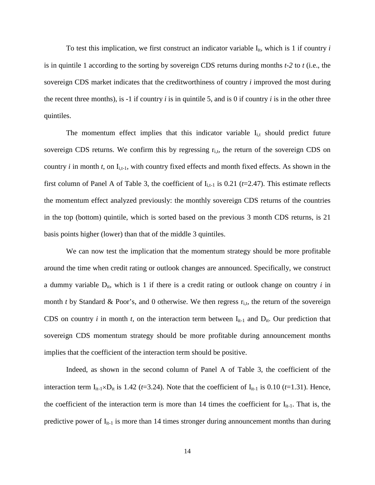To test this implication, we first construct an indicator variable  $I_{it}$ , which is 1 if country *i* is in quintile 1 according to the sorting by sovereign CDS returns during months *t-2* to *t* (i.e., the sovereign CDS market indicates that the creditworthiness of country *i* improved the most during the recent three months), is -1 if country *i* is in quintile 5, and is 0 if country *i* is in the other three quintiles.

The momentum effect implies that this indicator variable  $I_{i,t}$  should predict future sovereign CDS returns. We confirm this by regressing  $r_{i,t}$ , the return of the sovereign CDS on country  $i$  in month  $t$ , on  $I_{i,t-1}$ , with country fixed effects and month fixed effects. As shown in the first column of Panel A of Table 3, the coefficient of  $I_{i,t-1}$  is 0.21 ( $t=2.47$ ). This estimate reflects the momentum effect analyzed previously: the monthly sovereign CDS returns of the countries in the top (bottom) quintile, which is sorted based on the previous 3 month CDS returns, is 21 basis points higher (lower) than that of the middle 3 quintiles.

We can now test the implication that the momentum strategy should be more profitable around the time when credit rating or outlook changes are announced. Specifically, we construct a dummy variable  $D_{it}$ , which is 1 if there is a credit rating or outlook change on country  $i$  in month *t* by Standard & Poor's, and 0 otherwise. We then regress  $r_{i,t}$ , the return of the sovereign CDS on country *i* in month *t*, on the interaction term between  $I_{it-1}$  and  $D_{it}$ . Our prediction that sovereign CDS momentum strategy should be more profitable during announcement months implies that the coefficient of the interaction term should be positive.

Indeed, as shown in the second column of Panel A of Table 3, the coefficient of the interaction term  $I_{it-1} \times D_{it}$  is 1.42 (*t*=3.24). Note that the coefficient of  $I_{it-1}$  is 0.10 (*t*=1.31). Hence, the coefficient of the interaction term is more than 14 times the coefficient for  $I_{it-1}$ . That is, the predictive power of  $I_{it-1}$  is more than 14 times stronger during announcement months than during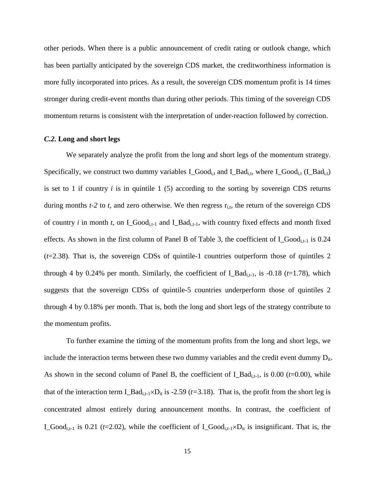other periods. When there is a public announcement of credit rating or outlook change, which has been partially anticipated by the sovereign CDS market, the creditworthiness information is more fully incorporated into prices. As a result, the sovereign CDS momentum profit is 14 times stronger during credit-event months than during other periods. This timing of the sovereign CDS momentum returns is consistent with the interpretation of under-reaction followed by correction.

#### *C.2.* **Long and short legs**

We separately analyze the profit from the long and short legs of the momentum strategy. Specifically, we construct two dummy variables  $I_{\text{1}}$  Good<sub>i,t</sub> and  $I_{\text{1}}$ Bad<sub>i,t</sub>, where  $I_{\text{1}}$ Good<sub>i,t</sub> ( $I_{\text{1}}$ Bad<sub>i,t</sub>) is set to 1 if country *i* is in quintile 1 (5) according to the sorting by sovereign CDS returns during months  $t-2$  to  $t$ , and zero otherwise. We then regress  $r_{i,t}$ , the return of the sovereign CDS of country  $i$  in month  $t$ , on I\_Good<sub>i,t-1</sub> and I\_Bad<sub>i,t-1</sub>, with country fixed effects and month fixed effects. As shown in the first column of Panel B of Table 3, the coefficient of  $I_{\text{1}}$  Good<sub>i,t-1</sub> is 0.24 (*t*=2.38). That is, the sovereign CDSs of quintile-1 countries outperform those of quintiles 2 through 4 by 0.24% per month. Similarly, the coefficient of  $LBad_{i,t-1}$ , is -0.18 ( $t=1.78$ ), which suggests that the sovereign CDSs of quintile-5 countries underperform those of quintiles 2 through 4 by 0.18% per month. That is, both the long and short legs of the strategy contribute to the momentum profits.

To further examine the timing of the momentum profits from the long and short legs, we include the interaction terms between these two dummy variables and the credit event dummy  $D_{it}$ . As shown in the second column of Panel B, the coefficient of  $I_B = \text{Bad}_{i,t-1}$ , is 0.00 ( $t=0.00$ ), while that of the interaction term  $I_B = Id_{i,t-1} \times D_{it}$  is -2.59 (*t*=3.18). That is, the profit from the short leg is concentrated almost entirely during announcement months. In contrast, the coefficient of I\_Good<sub>i,t-1</sub> is 0.21 ( $t=2.02$ ), while the coefficient of I\_Good<sub>i,t-1</sub>×D<sub>it</sub> is insignificant. That is, the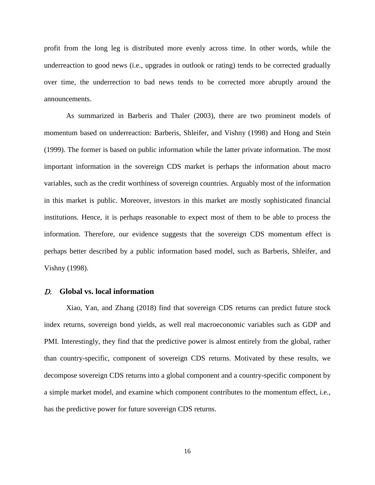profit from the long leg is distributed more evenly across time. In other words, while the underreaction to good news (i.e., upgrades in outlook or rating) tends to be corrected gradually over time, the underrection to bad news tends to be corrected more abruptly around the announcements.

As summarized in Barberis and Thaler (2003), there are two prominent models of momentum based on underreaction: Barberis, Shleifer, and Vishny (1998) and Hong and Stein (1999). The former is based on public information while the latter private information. The most important information in the sovereign CDS market is perhaps the information about macro variables, such as the credit worthiness of sovereign countries. Arguably most of the information in this market is public. Moreover, investors in this market are mostly sophisticated financial institutions. Hence, it is perhaps reasonable to expect most of them to be able to process the information. Therefore, our evidence suggests that the sovereign CDS momentum effect is perhaps better described by a public information based model, such as Barberis, Shleifer, and Vishny (1998).

#### D. **Global vs. local information**

Xiao, Yan, and Zhang (2018) find that sovereign CDS returns can predict future stock index returns, sovereign bond yields, as well real macroeconomic variables such as GDP and PMI. Interestingly, they find that the predictive power is almost entirely from the global, rather than country-specific, component of sovereign CDS returns. Motivated by these results, we decompose sovereign CDS returns into a global component and a country-specific component by a simple market model, and examine which component contributes to the momentum effect, i.e., has the predictive power for future sovereign CDS returns.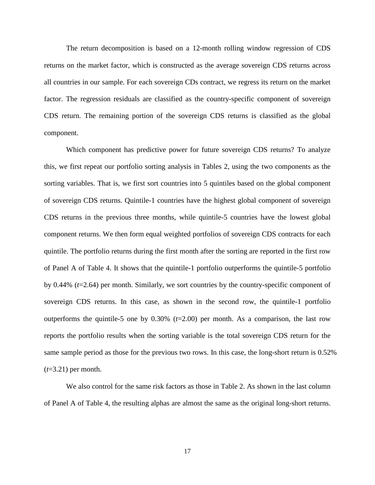The return decomposition is based on a 12-month rolling window regression of CDS returns on the market factor, which is constructed as the average sovereign CDS returns across all countries in our sample. For each sovereign CDs contract, we regress its return on the market factor. The regression residuals are classified as the country-specific component of sovereign CDS return. The remaining portion of the sovereign CDS returns is classified as the global component.

Which component has predictive power for future sovereign CDS returns? To analyze this, we first repeat our portfolio sorting analysis in Tables 2, using the two components as the sorting variables. That is, we first sort countries into 5 quintiles based on the global component of sovereign CDS returns. Quintile-1 countries have the highest global component of sovereign CDS returns in the previous three months, while quintile-5 countries have the lowest global component returns. We then form equal weighted portfolios of sovereign CDS contracts for each quintile. The portfolio returns during the first month after the sorting are reported in the first row of Panel A of Table 4. It shows that the quintile-1 portfolio outperforms the quintile-5 portfolio by 0.44% (*t*=2.64) per month. Similarly, we sort countries by the country-specific component of sovereign CDS returns. In this case, as shown in the second row, the quintile-1 portfolio outperforms the quintile-5 one by  $0.30\%$  ( $t=2.00$ ) per month. As a comparison, the last row reports the portfolio results when the sorting variable is the total sovereign CDS return for the same sample period as those for the previous two rows. In this case, the long-short return is 0.52% (*t*=3.21) per month.

We also control for the same risk factors as those in Table 2. As shown in the last column of Panel A of Table 4, the resulting alphas are almost the same as the original long-short returns.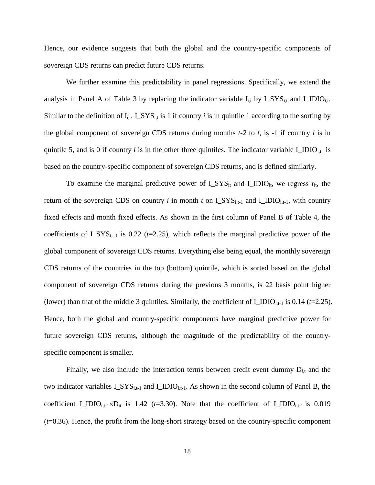Hence, our evidence suggests that both the global and the country-specific components of sovereign CDS returns can predict future CDS returns.

We further examine this predictability in panel regressions. Specifically, we extend the analysis in Panel A of Table 3 by replacing the indicator variable  $I_{i,t}$  by  $I_SYS_{i,t}$  and  $I_DIO_{i,t}$ . Similar to the definition of  $I_{i,t}$ ,  $I_SYS_{i,t}$  is 1 if country *i* is in quintile 1 according to the sorting by the global component of sovereign CDS returns during months *t-2* to *t*, is -1 if country *i* is in quintile 5, and is 0 if country *i* is in the other three quintiles. The indicator variable  $I_{\text{L}}IDIO_{i,t}$  is based on the country-specific component of sovereign CDS returns, and is defined similarly.

To examine the marginal predictive power of  $I_{\text{S}}$  and  $I_{\text{S}}$  and  $I_{\text{S}}$  and  $I_{\text{S}}$  we regress  $r_{\text{it}}$ , the return of the sovereign CDS on country *i* in month *t* on  $I_{S}YS_{i,t-1}$  and  $I_{L}IDIO_{i,t-1}$ , with country fixed effects and month fixed effects. As shown in the first column of Panel B of Table 4, the coefficients of  $L$ SYS<sub>i,t-1</sub> is 0.22 ( $t$ =2.25), which reflects the marginal predictive power of the global component of sovereign CDS returns. Everything else being equal, the monthly sovereign CDS returns of the countries in the top (bottom) quintile, which is sorted based on the global component of sovereign CDS returns during the previous 3 months, is 22 basis point higher (lower) than that of the middle 3 quintiles. Similarly, the coefficient of  $I_{\text{LIDIO}}$ <sub>i,t-1</sub> is 0.14 (*t*=2.25). Hence, both the global and country-specific components have marginal predictive power for future sovereign CDS returns, although the magnitude of the predictability of the countryspecific component is smaller.

Finally, we also include the interaction terms between credit event dummy  $D_{i,t}$  and the two indicator variables  $I_SYS_{i,t-1}$  and  $I_DIO_{i,t-1}$ . As shown in the second column of Panel B, the coefficient I\_IDIO<sub>i,t-1</sub>×D<sub>it</sub> is 1.42 ( $t=3.30$ ). Note that the coefficient of I\_IDIO<sub>i,t-1</sub> is 0.019 (*t*=0.36). Hence, the profit from the long-short strategy based on the country-specific component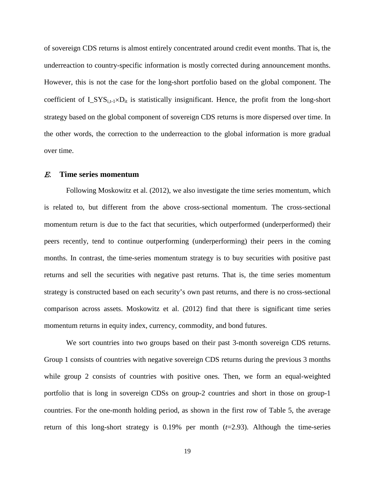of sovereign CDS returns is almost entirely concentrated around credit event months. That is, the underreaction to country-specific information is mostly corrected during announcement months. However, this is not the case for the long-short portfolio based on the global component. The coefficient of  $I_SYS_{i,t-1} \times D_{it}$  is statistically insignificant. Hence, the profit from the long-short strategy based on the global component of sovereign CDS returns is more dispersed over time. In the other words, the correction to the underreaction to the global information is more gradual over time.

#### E. **Time series momentum**

Following Moskowitz et al. (2012), we also investigate the time series momentum, which is related to, but different from the above cross-sectional momentum. The cross-sectional momentum return is due to the fact that securities, which outperformed (underperformed) their peers recently, tend to continue outperforming (underperforming) their peers in the coming months. In contrast, the time-series momentum strategy is to buy securities with positive past returns and sell the securities with negative past returns. That is, the time series momentum strategy is constructed based on each security's own past returns, and there is no cross-sectional comparison across assets. Moskowitz et al. (2012) find that there is significant time series momentum returns in equity index, currency, commodity, and bond futures.

We sort countries into two groups based on their past 3-month sovereign CDS returns. Group 1 consists of countries with negative sovereign CDS returns during the previous 3 months while group 2 consists of countries with positive ones. Then, we form an equal-weighted portfolio that is long in sovereign CDSs on group-2 countries and short in those on group-1 countries. For the one-month holding period, as shown in the first row of Table 5, the average return of this long-short strategy is 0.19% per month (*t*=2.93). Although the time-series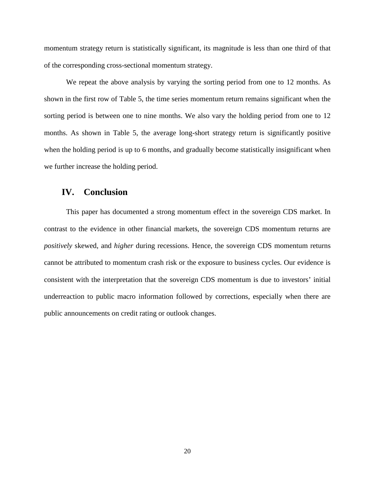momentum strategy return is statistically significant, its magnitude is less than one third of that of the corresponding cross-sectional momentum strategy.

We repeat the above analysis by varying the sorting period from one to 12 months. As shown in the first row of Table 5, the time series momentum return remains significant when the sorting period is between one to nine months. We also vary the holding period from one to 12 months. As shown in Table 5, the average long-short strategy return is significantly positive when the holding period is up to 6 months, and gradually become statistically insignificant when we further increase the holding period.

## **IV. Conclusion**

This paper has documented a strong momentum effect in the sovereign CDS market. In contrast to the evidence in other financial markets, the sovereign CDS momentum returns are *positively* skewed, and *higher* during recessions. Hence, the sovereign CDS momentum returns cannot be attributed to momentum crash risk or the exposure to business cycles. Our evidence is consistent with the interpretation that the sovereign CDS momentum is due to investors' initial underreaction to public macro information followed by corrections, especially when there are public announcements on credit rating or outlook changes.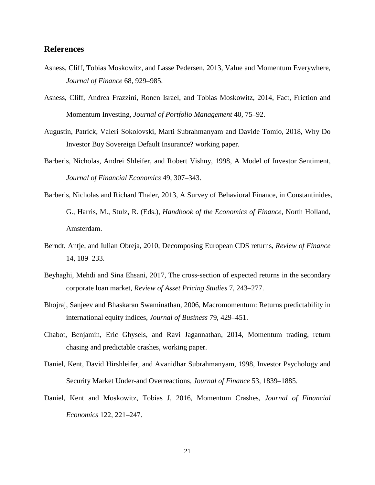#### **References**

- Asness, Cliff, Tobias Moskowitz, and Lasse Pedersen, 2013, Value and Momentum Everywhere, *Journal of Finance* 68, 929–985.
- Asness, Cliff, Andrea Frazzini, Ronen Israel, and Tobias Moskowitz, 2014, Fact, Friction and Momentum Investing, *Journal of Portfolio Management* 40, 75–92.
- Augustin, Patrick, Valeri Sokolovski, Marti Subrahmanyam and Davide Tomio, 2018, Why Do Investor Buy Sovereign Default Insurance? working paper.
- Barberis, Nicholas, Andrei Shleifer, and Robert Vishny, 1998, A Model of Investor Sentiment, *Journal of Financial Economics* 49, 307–343.
- Barberis, Nicholas and Richard Thaler, 2013, A Survey of Behavioral Finance, in Constantinides, G., Harris, M., Stulz, R. (Eds.), *Handbook of the Economics of Finance*, North Holland, Amsterdam.
- Berndt, Antje, and Iulian Obreja, 2010, Decomposing European CDS returns, *Review of Finance*  14, 189–233.
- Beyhaghi, Mehdi and Sina Ehsani, 2017, The cross-section of expected returns in the secondary corporate loan market, *Review of Asset Pricing Studies* 7, 243–277.
- Bhojraj, Sanjeev and Bhaskaran Swaminathan, 2006, Macromomentum: Returns predictability in international equity indices, *Journal of Business* 79, 429–451.
- Chabot, Benjamin, Eric Ghysels, and Ravi Jagannathan, 2014, Momentum trading, return chasing and predictable crashes, working paper.
- Daniel, Kent, David Hirshleifer, and Avanidhar Subrahmanyam, 1998, Investor Psychology and Security Market Under-and Overreactions, *Journal of Finance* 53, 1839–1885.
- Daniel, Kent and Moskowitz, Tobias J, 2016, Momentum Crashes, *Journal of Financial Economics* 122, 221–247.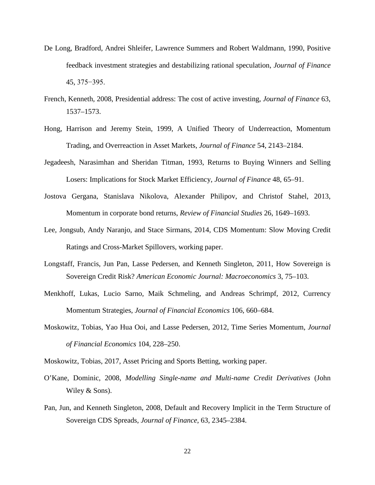- De Long, Bradford, Andrei Shleifer, Lawrence Summers and Robert Waldmann, 1990, Positive feedback investment strategies and destabilizing rational speculation, *Journal of Finance* 45, 375−395.
- French, Kenneth, 2008, Presidential address: The cost of active investing, *Journal of Finance* 63, 1537–1573.
- Hong, Harrison and Jeremy Stein, 1999, A Unified Theory of Underreaction, Momentum Trading, and Overreaction in Asset Markets, *Journal of Finance* 54, 2143–2184.
- Jegadeesh, Narasimhan and Sheridan Titman, 1993, Returns to Buying Winners and Selling Losers: Implications for Stock Market Efficiency, *Journal of Finance* 48, 65–91.
- Jostova Gergana, Stanislava Nikolova, Alexander Philipov, and Christof Stahel, 2013, Momentum in corporate bond returns, *Review of Financial Studies* 26, 1649–1693.
- Lee, Jongsub, Andy Naranjo, and Stace Sirmans, 2014, CDS Momentum: Slow Moving Credit Ratings and Cross-Market Spillovers, working paper.
- Longstaff, Francis, Jun Pan, Lasse Pedersen, and Kenneth Singleton, 2011, How Sovereign is Sovereign Credit Risk? *American Economic Journal: Macroeconomics* 3, 75–103.
- Menkhoff, Lukas, Lucio Sarno, Maik Schmeling, and Andreas Schrimpf, 2012, Currency Momentum Strategies, *Journal of Financial Economics* 106, 660–684.
- Moskowitz, Tobias, Yao Hua Ooi, and Lasse Pedersen, 2012, Time Series Momentum, *Journal of Financial Economics* 104, 228–250.
- Moskowitz, Tobias, 2017, Asset Pricing and Sports Betting, working paper.
- O'Kane, Dominic, 2008, *Modelling Single-name and Multi-name Credit Derivatives* (John Wiley & Sons).
- Pan, Jun, and Kenneth Singleton, 2008, Default and Recovery Implicit in the Term Structure of Sovereign CDS Spreads, *Journal of Finance*, 63, 2345–2384.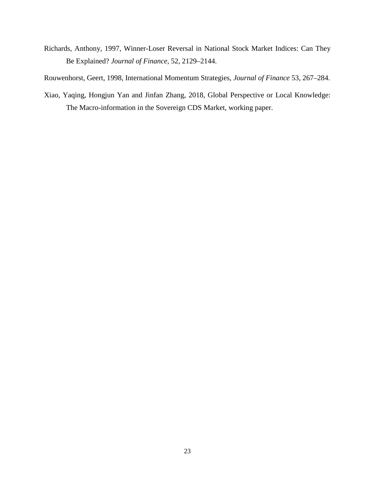Richards, Anthony, 1997, Winner-Loser Reversal in National Stock Market Indices: Can They Be Explained? *Journal of Finance*, 52, 2129–2144.

Rouwenhorst, Geert, 1998, International Momentum Strategies, *Journal of Finance* 53, 267–284.

Xiao, Yaqing, Hongjun Yan and Jinfan Zhang, 2018, Global Perspective or Local Knowledge: The Macro-information in the Sovereign CDS Market, working paper.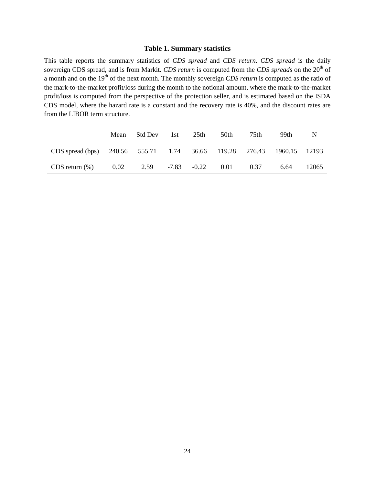#### **Table 1. Summary statistics**

This table reports the summary statistics of *CDS spread* and *CDS return*. *CDS spread* is the daily sovereign CDS spread, and is from Markit. *CDS return* is computed from the *CDS spreads* on the 20<sup>th</sup> of a month and on the 19<sup>th</sup> of the next month. The monthly sovereign *CDS return* is computed as the ratio of the mark-to-the-market profit/loss during the month to the notional amount, where the mark-to-the-market profit/loss is computed from the perspective of the protection seller, and is estimated based on the ISDA CDS model, where the hazard rate is a constant and the recovery rate is 40%, and the discount rates are from the LIBOR term structure.

|                                                         | Mean | Std Dev | 1st     | 25th    | 50th | 75th | 99th    | N     |
|---------------------------------------------------------|------|---------|---------|---------|------|------|---------|-------|
| CDS spread (bps) 240.56 555.71 1.74 36.66 119.28 276.43 |      |         |         |         |      |      | 1960.15 | 12193 |
| $CDS$ return $(\%)$                                     | 0.02 | 2.59    | $-7.83$ | $-0.22$ | 0.01 | 0.37 | 6.64    | 12065 |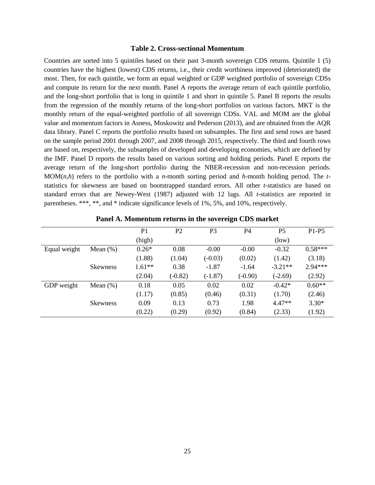#### **Table 2. Cross-sectional Momentum**

Countries are sorted into 5 quintiles based on their past 3-month sovereign CDS returns. Quintile 1 (5) countries have the highest (lowest) CDS returns, i.e., their credit worthiness improved (deteriorated) the most. Then, for each quintile, we form an equal weighted or GDP weighted portfolio of sovereign CDSs and compute its return for the next month. Panel A reports the average return of each quintile portfolio, and the long-short portfolio that is long in quintile 1 and short in quintile 5. Panel B reports the results from the regression of the monthly returns of the long-short portfolios on various factors. MKT is the monthly return of the equal-weighted portfolio of all sovereign CDSs. VAL and MOM are the global value and momentum factors in Asness, Moskowitz and Pederson (2013), and are obtained from the AQR data library. Panel C reports the portfolio results based on subsamples. The first and send rows are based on the sample period 2001 through 2007, and 2008 through 2015, respectively. The third and fourth rows are based on, respectively, the subsamples of developed and developing economies, which are defined by the IMF. Panel D reports the results based on various sorting and holding periods. Panel E reports the average return of the long-short portfolio during the NBER-recession and non-recession periods. MOM(*n*,*h*) refers to the portfolio with a *n*-month sorting period and *h*-month holding period. The *t*statistics for skewness are based on bootstrapped standard errors. All other *t*-statistics are based on standard errors that are Newey-West (1987) adjusted with 12 lags. All *t*-statistics are reported in parentheses. \*\*\*, \*\*, and \* indicate significance levels of 1%, 5%, and 10%, respectively.

|              |                 | P <sub>1</sub> | P <sub>2</sub> | P <sub>3</sub> | P <sub>4</sub> | P <sub>5</sub> | $P1-P5$   |
|--------------|-----------------|----------------|----------------|----------------|----------------|----------------|-----------|
|              |                 | (high)         |                |                |                | (low)          |           |
| Equal weight | Mean $(\%)$     | $0.26*$        | 0.08           | $-0.00$        | $-0.00$        | $-0.32$        | $0.58***$ |
|              |                 | (1.88)         | (1.04)         | $(-0.03)$      | (0.02)         | (1.42)         | (3.18)    |
|              | <b>Skewness</b> | $1.61**$       | 0.38           | $-1.87$        | $-1.64$        | $-3.21**$      | $2.94***$ |
|              |                 | (2.04)         | $(-0.82)$      | $(-1.87)$      | $(-0.90)$      | $(-2.69)$      | (2.92)    |
| GDP weight   | Mean $(\%)$     | 0.18           | 0.05           | 0.02           | 0.02           | $-0.42*$       | $0.60**$  |
|              |                 | (1.17)         | (0.85)         | (0.46)         | (0.31)         | (1.70)         | (2.46)    |
|              | <b>Skewness</b> | 0.09           | 0.13           | 0.73           | 1.98           | $4.47**$       | $3.30*$   |
|              |                 | (0.22)         | (0.29)         | (0.92)         | (0.84)         | (2.33)         | (1.92)    |

**Panel A. Momentum returns in the sovereign CDS market**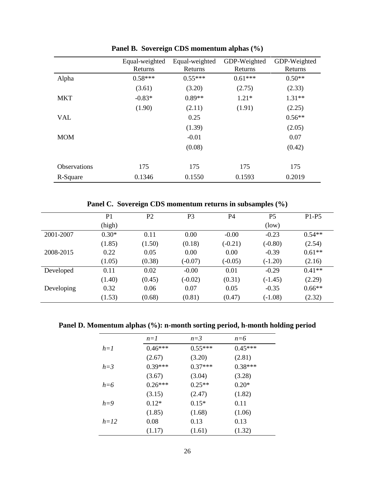|                     | Equal-weighted | Equal-weighted | GDP-Weighted | GDP-Weighted |
|---------------------|----------------|----------------|--------------|--------------|
|                     | Returns        | Returns        | Returns      | Returns      |
| Alpha               | $0.58***$      | $0.55***$      | $0.61***$    | $0.50**$     |
|                     | (3.61)         | (3.20)         | (2.75)       | (2.33)       |
| <b>MKT</b>          | $-0.83*$       | $0.89**$       | $1.21*$      | $1.31**$     |
|                     | (1.90)         | (2.11)         | (1.91)       | (2.25)       |
| <b>VAL</b>          |                | 0.25           |              | $0.56**$     |
|                     |                | (1.39)         |              | (2.05)       |
| <b>MOM</b>          |                | $-0.01$        |              | 0.07         |
|                     |                | (0.08)         |              | (0.42)       |
| <b>Observations</b> | 175            | 175            | 175          | 175          |
|                     |                |                |              |              |
| R-Square            | 0.1346         | 0.1550         | 0.1593       | 0.2019       |

**Panel B. Sovereign CDS momentum alphas (%)**

**Panel C. Sovereign CDS momentum returns in subsamples (%)**

|            | P <sub>1</sub> | P <sub>2</sub> | P <sub>3</sub> | P4        | <b>P5</b> | P <sub>1</sub> -P <sub>5</sub> |
|------------|----------------|----------------|----------------|-----------|-----------|--------------------------------|
|            | (high)         |                |                |           | (low)     |                                |
| 2001-2007  | $0.30*$        | 0.11           | 0.00           | $-0.00$   | $-0.23$   | $0.54**$                       |
|            | (1.85)         | (1.50)         | (0.18)         | $(-0.21)$ | $(-0.80)$ | (2.54)                         |
| 2008-2015  | 0.22           | 0.05           | 0.00           | 0.00      | $-0.39$   | $0.61**$                       |
|            | (1.05)         | (0.38)         | $(-0.07)$      | $(-0.05)$ | $(-1.20)$ | (2.16)                         |
| Developed  | 0.11           | 0.02           | $-0.00$        | 0.01      | $-0.29$   | $0.41**$                       |
|            | (1.40)         | (0.45)         | $(-0.02)$      | (0.31)    | $(-1.45)$ | (2.29)                         |
| Developing | 0.32           | 0.06           | 0.07           | 0.05      | $-0.35$   | $0.66**$                       |
|            | (1.53)         | (0.68)         | (0.81)         | (0.47)    | $(-1.08)$ | (2.32)                         |

**Panel D. Momentum alphas (%): n-month sorting period, h-month holding period**

|         | $n=1$     | $n=3$     | $n=6$     |
|---------|-----------|-----------|-----------|
| $h=1$   | $0.46***$ | $0.55***$ | $0.45***$ |
|         | (2.67)    | (3.20)    | (2.81)    |
| $h = 3$ | $0.39***$ | $0.37***$ | $0.38***$ |
|         | (3.67)    | (3.04)    | (3.28)    |
| $h=6$   | $0.26***$ | $0.25**$  | $0.20*$   |
|         | (3.15)    | (2.47)    | (1.82)    |
| $h=9$   | $0.12*$   | $0.15*$   | 0.11      |
|         | (1.85)    | (1.68)    | (1.06)    |
| $h=12$  | 0.08      | 0.13      | 0.13      |
|         | (1.17)    | (1.61)    | (1.32)    |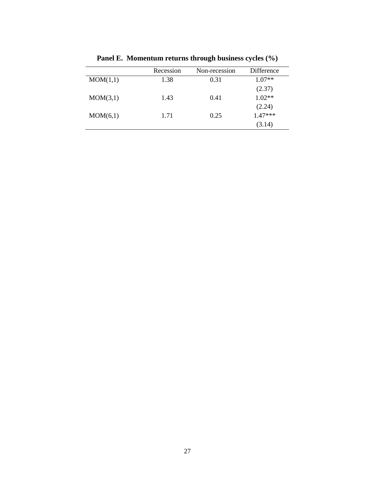|          | Recession | Non-recession | Difference |
|----------|-----------|---------------|------------|
| MOM(1,1) | 1.38      | 0.31          | $1.07**$   |
|          |           |               | (2.37)     |
| MOM(3,1) | 1.43      | 0.41          | $1.02**$   |
|          |           |               | (2.24)     |
| MOM(6,1) | 1.71      | 0.25          | $1.47***$  |
|          |           |               | (3.14)     |

**Panel E. Momentum returns through business cycles (%)**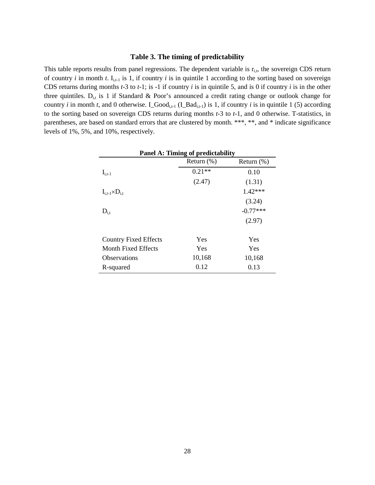#### **Table 3. The timing of predictability**

This table reports results from panel regressions. The dependent variable is  $r_{i,t}$ , the sovereign CDS return of country *i* in month *t*.  $I_{i,t-1}$  is 1, if country *i* is in quintile 1 according to the sorting based on sovereign CDS returns during months *t*-3 to *t*-1; is -1 if country *i* is in quintile 5, and is 0 if country *i* is in the other three quintiles.  $D_{i,t}$  is 1 if Standard & Poor's announced a credit rating change or outlook change for country *i* in month *t*, and 0 otherwise. I\_Good<sub>i,t-1</sub> (I\_Bad<sub>i,t-1</sub>) is 1, if country *i* is in quintile 1 (5) according to the sorting based on sovereign CDS returns during months *t*-3 to *t*-1, and 0 otherwise. T-statistics, in parentheses, are based on standard errors that are clustered by month. \*\*\*, \*\*, and \* indicate significance levels of 1%, 5%, and 10%, respectively.

| <b>Panel A: Timing of predictability</b> |               |               |  |  |  |
|------------------------------------------|---------------|---------------|--|--|--|
|                                          | Return $(\%)$ | Return $(\%)$ |  |  |  |
| $I_{i,t-1}$                              | $0.21**$      | 0.10          |  |  |  |
|                                          | (2.47)        | (1.31)        |  |  |  |
| $I_{i,t-1} \times D_{i,t}$               |               | 1.42***       |  |  |  |
|                                          |               | (3.24)        |  |  |  |
| $D_{i,t}$                                |               | $-0.77***$    |  |  |  |
|                                          |               | (2.97)        |  |  |  |
| <b>Country Fixed Effects</b>             | Yes           | Yes           |  |  |  |
| Month Fixed Effects                      | Yes           | Yes           |  |  |  |
| <b>Observations</b>                      | 10,168        | 10,168        |  |  |  |
| R-squared                                | 0.12          | 0.13          |  |  |  |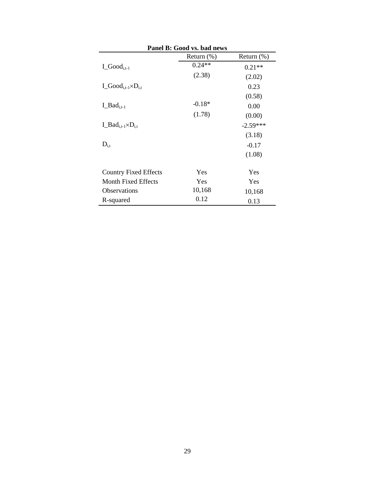| Panel B: Good vs. bad news           |               |               |  |  |
|--------------------------------------|---------------|---------------|--|--|
|                                      | Return $(\%)$ | Return $(\%)$ |  |  |
| $I_{\text{-}Good_{i,t-1}}$           | $0.24**$      | $0.21**$      |  |  |
|                                      | (2.38)        | (2.02)        |  |  |
| $I_{\_\_Good_{i,t-1}\times D_{i,t}}$ |               | 0.23          |  |  |
|                                      |               | (0.58)        |  |  |
| $L_Bad_{i,t-1}$                      | $-0.18*$      | 0.00          |  |  |
|                                      | (1.78)        | (0.00)        |  |  |
| $I_Bad_{i,t-1}\times D_{i,t}$        |               | $-2.59***$    |  |  |
|                                      |               | (3.18)        |  |  |
| $D_{i,t}$                            |               | $-0.17$       |  |  |
|                                      |               | (1.08)        |  |  |
| <b>Country Fixed Effects</b>         | Yes           | Yes           |  |  |
| Month Fixed Effects                  | Yes           | Yes           |  |  |
| <b>Observations</b>                  | 10,168        | 10,168        |  |  |
| R-squared                            | 0.12          | 0.13          |  |  |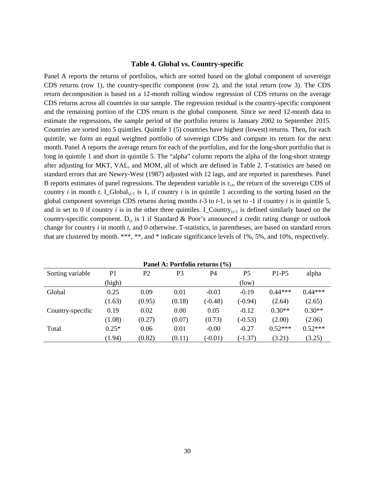#### **Table 4. Global vs. Country-specific**

Panel A reports the returns of portfolios, which are sorted based on the global component of sovereign CDS returns (row 1), the country-specific component (row 2), and the total return (row 3). The CDS return decomposition is based on a 12-month rolling window regression of CDS returns on the average CDS returns across all countries in our sample. The regression residual is the country-specific component and the remaining portion of the CDS return is the global component. Since we need 12-month data to estimate the regressions, the sample period of the portfolio returns is January 2002 to September 2015. Countries are sorted into 5 quintiles. Quintile 1 (5) countries have highest (lowest) returns. Then, for each quintile, we form an equal weighted portfolio of sovereign CDSs and compute its return for the next month. Panel A reports the average return for each of the portfolios, and for the long-short portfolio that is long in quintile 1 and short in quintile 5. The "alpha" column reports the alpha of the long-short strategy after adjusting for MKT, VAL, and MOM, all of which are defined in Table 2. T-statistics are based on standard errors that are Newey-West (1987) adjusted with 12 lags, and are reported in parentheses. Panel B reports estimates of panel regressions. The dependent variable is  $r_{i,t}$ , the return of the sovereign CDS of country *i* in month *t*. I\_Global<sub>it-1</sub> is 1, if country *i* is in quintile 1 according to the sorting based on the global component sovereign CDS returns during months *t*-3 to *t*-1, is set to -1 if country *i* is in quintile 5, and is set to 0 if country *i* is in the other three quintiles. I\_Country<sub>i,t-1</sub> is defined similarly based on the country-specific component.  $D_{i,t}$  is 1 if Standard & Poor's announced a credit rating change or outlook change for country *i* in month *t*, and 0 otherwise. T-statistics, in parentheses, are based on standard errors that are clustered by month. \*\*\*, \*\*, and \* indicate significance levels of 1%, 5%, and 10%, respectively.

| Patiel A: Portiono returns (*/0) |         |        |        |                |           |           |           |
|----------------------------------|---------|--------|--------|----------------|-----------|-----------|-----------|
| Sorting variable                 | P1      | P2     | P3     | P <sub>4</sub> | P5        | $P1-P5$   | alpha     |
|                                  | (high)  |        |        |                | (low)     |           |           |
| Global                           | 0.25    | 0.09   | 0.01   | $-0.03$        | $-0.19$   | $0.44***$ | $0.44***$ |
|                                  | (1.63)  | (0.95) | (0.18) | $(-0.48)$      | $(-0.94)$ | (2.64)    | (2.65)    |
| Country-specific                 | 0.19    | 0.02   | 0.00   | 0.05           | $-0.12$   | $0.30**$  | $0.30**$  |
|                                  | (1.08)  | (0.27) | (0.07) | (0.73)         | $(-0.53)$ | (2.00)    | (2.06)    |
| Total                            | $0.25*$ | 0.06   | 0.01   | $-0.00$        | $-0.27$   | $0.52***$ | $0.52***$ |
|                                  | (1.94)  | (0.82) | (0.11) | $(-0.01)$      | $(-1.37)$ | (3.21)    | (3.25)    |

 $\mathbf{D}_{\text{c}}$   $\mathbf{L}$   $\mathbf{A}$   $\mathbf{D}_{\text{c}}$   $\mathbf{L}$   $\mathbf{E}_{\text{c}}$   $\mathbf{L}$   $\mathbf{S}$  returns  $\mathbf{L}(\mathbf{A})$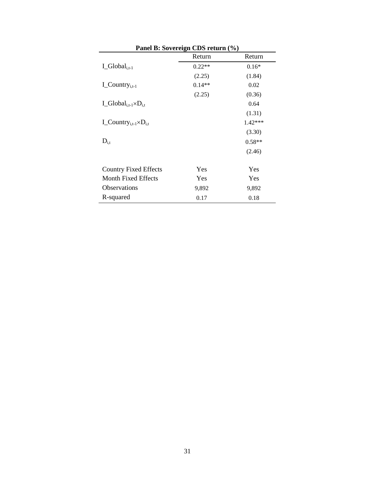| Panel B: Sovereign CDS return (%)            |          |          |  |  |
|----------------------------------------------|----------|----------|--|--|
|                                              | Return   | Return   |  |  |
| $I_{Global_{i,t-1}}$                         | $0.22**$ | $0.16*$  |  |  |
|                                              | (2.25)   | (1.84)   |  |  |
| $I_{\text{C}\text{contry}_{i,t-1}}$          | $0.14**$ | 0.02     |  |  |
|                                              | (2.25)   | (0.36)   |  |  |
| $I_{Global_{i,t-1}\times D_{i,t}}$           |          | 0.64     |  |  |
|                                              |          | (1.31)   |  |  |
| $I_{\text{-}Country_{i,t-1} \times D_{i,t}}$ |          | 1.42***  |  |  |
|                                              |          | (3.30)   |  |  |
| $D_{i,t}$                                    |          | $0.58**$ |  |  |
|                                              |          | (2.46)   |  |  |
| <b>Country Fixed Effects</b>                 | Yes      | Yes      |  |  |
| Month Fixed Effects                          | Yes      | Yes      |  |  |
| Observations                                 | 9,892    | 9,892    |  |  |
| R-squared                                    | 0.17     | 0.18     |  |  |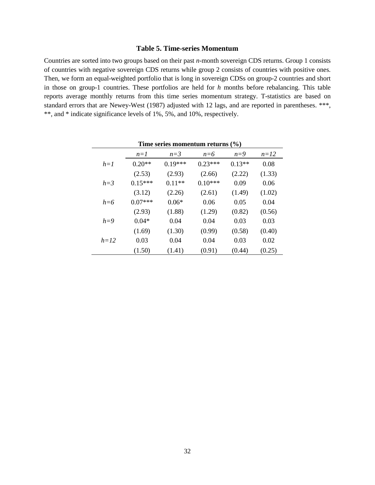#### **Table 5. Time-series Momentum**

Countries are sorted into two groups based on their past *n*-month sovereign CDS returns. Group 1 consists of countries with negative sovereign CDS returns while group 2 consists of countries with positive ones. Then, we form an equal-weighted portfolio that is long in sovereign CDSs on group-2 countries and short in those on group-1 countries. These portfolios are held for *h* months before rebalancing. This table reports average monthly returns from this time series momentum strategy. T-statistics are based on standard errors that are Newey-West (1987) adjusted with 12 lags, and are reported in parentheses. \*\*\*, \*\*, and \* indicate significance levels of 1%, 5%, and 10%, respectively.

| Time series momentum returns $(\% )$ |           |           |           |          |        |  |  |
|--------------------------------------|-----------|-----------|-----------|----------|--------|--|--|
|                                      | $n=1$     | $n=3$     | $n=6$     | $n=9$    | $n=12$ |  |  |
| $h=1$                                | $0.20**$  | $0.19***$ | $0.23***$ | $0.13**$ | 0.08   |  |  |
|                                      | (2.53)    | (2.93)    | (2.66)    | (2.22)   | (1.33) |  |  |
| $h=3$                                | $0.15***$ | $0.11**$  | $0.10***$ | 0.09     | 0.06   |  |  |
|                                      | (3.12)    | (2.26)    | (2.61)    | (1.49)   | (1.02) |  |  |
| $h = 6$                              | $0.07***$ | $0.06*$   | 0.06      | 0.05     | 0.04   |  |  |
|                                      | (2.93)    | (1.88)    | (1.29)    | (0.82)   | (0.56) |  |  |
| $h=9$                                | $0.04*$   | 0.04      | 0.04      | 0.03     | 0.03   |  |  |
|                                      | (1.69)    | (1.30)    | (0.99)    | (0.58)   | (0.40) |  |  |
| $h=12$                               | 0.03      | 0.04      | 0.04      | 0.03     | 0.02   |  |  |
|                                      | (1.50)    | (1.41)    | (0.91)    | (0.44)   | (0.25) |  |  |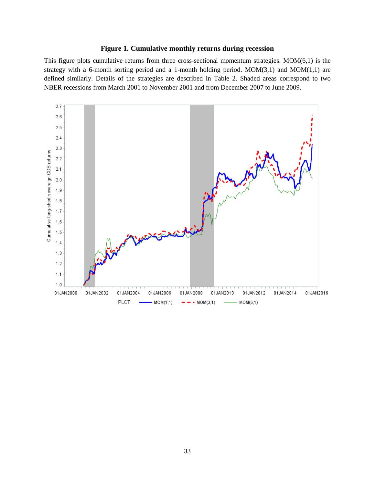### **Figure 1. Cumulative monthly returns during recession**

This figure plots cumulative returns from three cross-sectional momentum strategies. MOM(6,1) is the strategy with a 6-month sorting period and a 1-month holding period. MOM(3,1) and MOM(1,1) are defined similarly. Details of the strategies are described in Table 2. Shaded areas correspond to two NBER recessions from March 2001 to November 2001 and from December 2007 to June 2009.

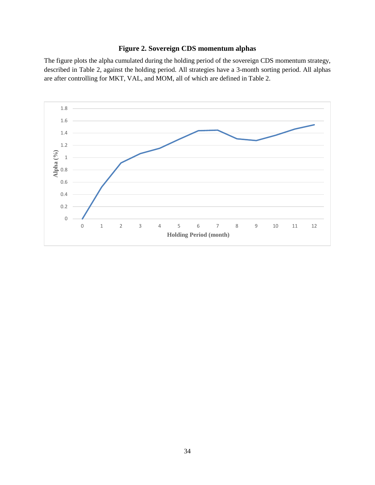## **Figure 2. Sovereign CDS momentum alphas**

The figure plots the alpha cumulated during the holding period of the sovereign CDS momentum strategy, described in Table 2, against the holding period. All strategies have a 3-month sorting period. All alphas are after controlling for MKT, VAL, and MOM, all of which are defined in Table 2.